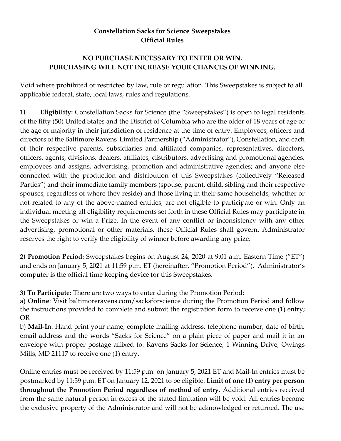## **Constellation Sacks for Science Sweepstakes Official Rules**

## **NO PURCHASE NECESSARY TO ENTER OR WIN. PURCHASING WILL NOT INCREASE YOUR CHANCES OF WINNING.**

Void where prohibited or restricted by law, rule or regulation. This Sweepstakes is subject to all applicable federal, state, local laws, rules and regulations.

**1) Eligibility:** Constellation Sacks for Science (the "Sweepstakes") is open to legal residents of the fifty (50) United States and the District of Columbia who are the older of 18 years of age or the age of majority in their jurisdiction of residence at the time of entry. Employees, officers and directors of the Baltimore Ravens Limited Partnership ("Administrator"), Constellation, and each of their respective parents, subsidiaries and affiliated companies, representatives, directors, officers, agents, divisions, dealers, affiliates, distributors, advertising and promotional agencies, employees and assigns, advertising, promotion and administrative agencies; and anyone else connected with the production and distribution of this Sweepstakes (collectively "Released Parties") and their immediate family members (spouse, parent, child, sibling and their respective spouses, regardless of where they reside) and those living in their same households, whether or not related to any of the above-named entities, are not eligible to participate or win. Only an individual meeting all eligibility requirements set forth in these Official Rules may participate in the Sweepstakes or win a Prize. In the event of any conflict or inconsistency with any other advertising, promotional or other materials, these Official Rules shall govern. Administrator reserves the right to verify the eligibility of winner before awarding any prize.

**2) Promotion Period:** Sweepstakes begins on August 24, 2020 at 9:01 a.m. Eastern Time ("ET") and ends on January 5, 2021 at 11:59 p.m. ET (hereinafter, "Promotion Period"). Administrator's computer is the official time keeping device for this Sweepstakes.

**3) To Participate:** There are two ways to enter during the Promotion Period:

a) **Online**: Visit baltimoreravens.com/sacksforscience during the Promotion Period and follow the instructions provided to complete and submit the registration form to receive one (1) entry; OR

b) **Mail-In**: Hand print your name, complete mailing address, telephone number, date of birth, email address and the words "Sacks for Science" on a plain piece of paper and mail it in an envelope with proper postage affixed to: Ravens Sacks for Science, 1 Winning Drive, Owings Mills, MD 21117 to receive one (1) entry.

Online entries must be received by 11:59 p.m. on January 5, 2021 ET and Mail-In entries must be postmarked by 11:59 p.m. ET on January 12, 2021 to be eligible. **Limit of one (1) entry per person throughout the Promotion Period regardless of method of entry.** Additional entries received from the same natural person in excess of the stated limitation will be void. All entries become the exclusive property of the Administrator and will not be acknowledged or returned. The use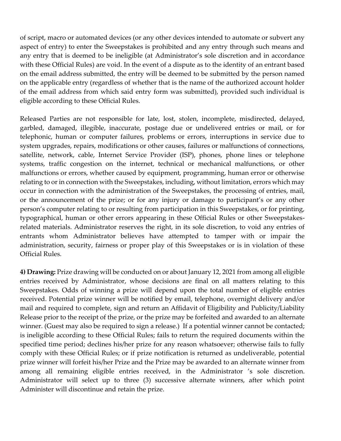of script, macro or automated devices (or any other devices intended to automate or subvert any aspect of entry) to enter the Sweepstakes is prohibited and any entry through such means and any entry that is deemed to be ineligible (at Administrator's sole discretion and in accordance with these Official Rules) are void. In the event of a dispute as to the identity of an entrant based on the email address submitted, the entry will be deemed to be submitted by the person named on the applicable entry (regardless of whether that is the name of the authorized account holder of the email address from which said entry form was submitted), provided such individual is eligible according to these Official Rules.

Released Parties are not responsible for late, lost, stolen, incomplete, misdirected, delayed, garbled, damaged, illegible, inaccurate, postage due or undelivered entries or mail, or for telephonic, human or computer failures, problems or errors, interruptions in service due to system upgrades, repairs, modifications or other causes, failures or malfunctions of connections, satellite, network, cable, Internet Service Provider (ISP), phones, phone lines or telephone systems, traffic congestion on the internet, technical or mechanical malfunctions, or other malfunctions or errors, whether caused by equipment, programming, human error or otherwise relating to or in connection with the Sweepstakes, including, without limitation, errors which may occur in connection with the administration of the Sweepstakes, the processing of entries, mail, or the announcement of the prize; or for any injury or damage to participant's or any other person's computer relating to or resulting from participation in this Sweepstakes, or for printing, typographical, human or other errors appearing in these Official Rules or other Sweepstakesrelated materials. Administrator reserves the right, in its sole discretion, to void any entries of entrants whom Administrator believes have attempted to tamper with or impair the administration, security, fairness or proper play of this Sweepstakes or is in violation of these Official Rules.

**4) Drawing:** Prize drawing will be conducted on or about January 12, 2021 from among all eligible entries received by Administrator, whose decisions are final on all matters relating to this Sweepstakes. Odds of winning a prize will depend upon the total number of eligible entries received. Potential prize winner will be notified by email, telephone, overnight delivery and/or mail and required to complete, sign and return an Affidavit of Eligibility and Publicity/Liability Release prior to the receipt of the prize, or the prize may be forfeited and awarded to an alternate winner. (Guest may also be required to sign a release.) If a potential winner cannot be contacted; is ineligible according to these Official Rules; fails to return the required documents within the specified time period; declines his/her prize for any reason whatsoever; otherwise fails to fully comply with these Official Rules; or if prize notification is returned as undeliverable, potential prize winner will forfeit his/her Prize and the Prize may be awarded to an alternate winner from among all remaining eligible entries received, in the Administrator 's sole discretion. Administrator will select up to three (3) successive alternate winners, after which point Administer will discontinue and retain the prize.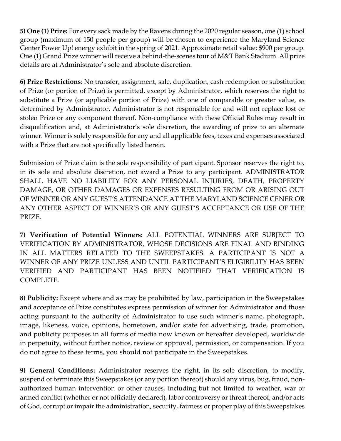**5) One (1) Prize:** For every sack made by the Ravens during the 2020 regular season, one (1) school group (maximum of 150 people per group) will be chosen to experience the Maryland Science Center Power Up! energy exhibit in the spring of 2021. Approximate retail value: \$900 per group. One (1) Grand Prize winner will receive a behind-the-scenes tour of M&T Bank Stadium. All prize details are at Administrator's sole and absolute discretion.

**6) Prize Restrictions**: No transfer, assignment, sale, duplication, cash redemption or substitution of Prize (or portion of Prize) is permitted, except by Administrator, which reserves the right to substitute a Prize (or applicable portion of Prize) with one of comparable or greater value, as determined by Administrator. Administrator is not responsible for and will not replace lost or stolen Prize or any component thereof. Non-compliance with these Official Rules may result in disqualification and, at Administrator's sole discretion, the awarding of prize to an alternate winner. Winner is solely responsible for any and all applicable fees, taxes and expenses associated with a Prize that are not specifically listed herein.

Submission of Prize claim is the sole responsibility of participant. Sponsor reserves the right to, in its sole and absolute discretion, not award a Prize to any participant. ADMINISTRATOR SHALL HAVE NO LIABILITY FOR ANY PERSONAL INJURIES, DEATH, PROPERTY DAMAGE, OR OTHER DAMAGES OR EXPENSES RESULTING FROM OR ARISING OUT OF WINNER OR ANY GUEST'S ATTENDANCE AT THE MARYLAND SCIENCE CENER OR ANY OTHER ASPECT OF WINNER'S OR ANY GUEST'S ACCEPTANCE OR USE OF THE PRIZE.

**7) Verification of Potential Winners:** ALL POTENTIAL WINNERS ARE SUBJECT TO VERIFICATION BY ADMINISTRATOR, WHOSE DECISIONS ARE FINAL AND BINDING IN ALL MATTERS RELATED TO THE SWEEPSTAKES. A PARTICIPANT IS NOT A WINNER OF ANY PRIZE UNLESS AND UNTIL PARTICIPANT'S ELIGIBILITY HAS BEEN VERIFIED AND PARTICIPANT HAS BEEN NOTIFIED THAT VERIFICATION IS COMPLETE.

**8) Publicity:** Except where and as may be prohibited by law, participation in the Sweepstakes and acceptance of Prize constitutes express permission of winner for Administrator and those acting pursuant to the authority of Administrator to use such winner's name, photograph, image, likeness, voice, opinions, hometown, and/or state for advertising, trade, promotion, and publicity purposes in all forms of media now known or hereafter developed, worldwide in perpetuity, without further notice, review or approval, permission, or compensation. If you do not agree to these terms, you should not participate in the Sweepstakes.

**9) General Conditions:** Administrator reserves the right, in its sole discretion, to modify, suspend or terminate this Sweepstakes (or any portion thereof) should any virus, bug, fraud, nonauthorized human intervention or other causes, including but not limited to weather, war or armed conflict (whether or not officially declared), labor controversy or threat thereof, and/or acts of God, corrupt or impair the administration, security, fairness or proper play of this Sweepstakes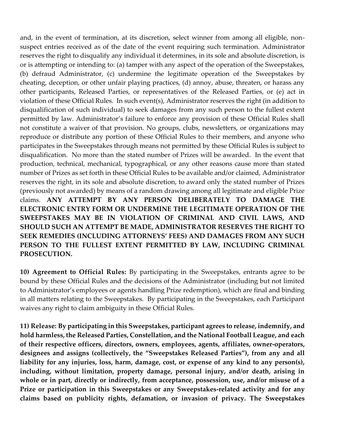and, in the event of termination, at its discretion, select winner from among all eligible, nonsuspect entries received as of the date of the event requiring such termination. Administrator reserves the right to disqualify any individual it determines, in its sole and absolute discretion, is or is attempting or intending to: (a) tamper with any aspect of the operation of the Sweepstakes, (b) defraud Administrator, (c) undermine the legitimate operation of the Sweepstakes by cheating, deception, or other unfair playing practices, (d) annoy, abuse, threaten, or harass any other participants, Released Parties, or representatives of the Released Parties, or (e) act in violation of these Official Rules. In such event(s), Administrator reserves the right (in addition to disqualification of such individual) to seek damages from any such person to the fullest extent permitted by law. Administrator's failure to enforce any provision of these Official Rules shall not constitute a waiver of that provision. No groups, clubs, newsletters, or organizations may reproduce or distribute any portion of these Official Rules to their members, and anyone who participates in the Sweepstakes through means not permitted by these Official Rules is subject to disqualification. No more than the stated number of Prizes will be awarded. In the event that production, technical, mechanical, typographical, or any other reasons cause more than stated number of Prizes as set forth in these Official Rules to be available and/or claimed, Administrator reserves the right, in its sole and absolute discretion, to award only the stated number of Prizes (previously not awarded) by means of a random drawing among all legitimate and eligible Prize claims. **ANY ATTEMPT BY ANY PERSON DELIBERATELY TO DAMAGE THE ELECTRONIC ENTRY FORM OR UNDERMINE THE LEGITIMATE OPERATION OF THE SWEEPSTAKES MAY BE IN VIOLATION OF CRIMINAL AND CIVIL LAWS, AND SHOULD SUCH AN ATTEMPT BE MADE, ADMINISTRATOR RESERVES THE RIGHT TO SEEK REMEDIES (INCLUDING ATTORNEYS' FEES) AND DAMAGES FROM ANY SUCH PERSON TO THE FULLEST EXTENT PERMITTED BY LAW, INCLUDING CRIMINAL PROSECUTION.** 

**10) Agreement to Official Rules:** By participating in the Sweepstakes, entrants agree to be bound by these Official Rules and the decisions of the Administrator (including but not limited to Administrator's employees or agents handling Prize redemption), which are final and binding in all matters relating to the Sweepstakes. By participating in the Sweepstakes, each Participant waives any right to claim ambiguity in these Official Rules.

**11) Release: By participating in this Sweepstakes, participant agrees to release, indemnify, and hold harmless, the Released Parties, Constellation, and the National Football League, and each of their respective officers, directors, owners, employees, agents, affiliates, owner-operators, designees and assigns (collectively, the "Sweepstakes Released Parties"), from any and all liability for any injuries, loss, harm, damage, cost, or expense of any kind to any person(s), including, without limitation, property damage, personal injury, and/or death, arising in whole or in part, directly or indirectly, from acceptance, possession, use, and/or misuse of a Prize or participation in this Sweepstakes or any Sweepstakes-related activity and for any claims based on publicity rights, defamation, or invasion of privacy. The Sweepstakes**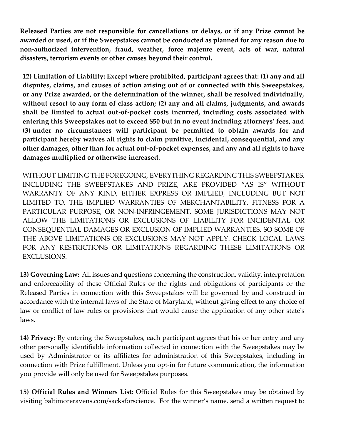**Released Parties are not responsible for cancellations or delays, or if any Prize cannot be awarded or used, or if the Sweepstakes cannot be conducted as planned for any reason due to non-authorized intervention, fraud, weather, force majeure event, acts of war, natural disasters, terrorism events or other causes beyond their control.**

**12) Limitation of Liability: Except where prohibited, participant agrees that: (1) any and all disputes, claims, and causes of action arising out of or connected with this Sweepstakes, or any Prize awarded, or the determination of the winner, shall be resolved individually, without resort to any form of class action; (2) any and all claims, judgments, and awards shall be limited to actual out-of-pocket costs incurred, including costs associated with entering this Sweepstakes not to exceed \$50 but in no event including attorneys' fees, and (3) under no circumstances will participant be permitted to obtain awards for and participant hereby waives all rights to claim punitive, incidental, consequential, and any other damages, other than for actual out-of-pocket expenses, and any and all rights to have damages multiplied or otherwise increased.**

WITHOUT LIMITING THE FOREGOING, EVERYTHING REGARDING THIS SWEEPSTAKES, INCLUDING THE SWEEPSTAKES AND PRIZE, ARE PROVIDED "AS IS" WITHOUT WARRANTY OF ANY KIND, EITHER EXPRESS OR IMPLIED, INCLUDING BUT NOT LIMITED TO, THE IMPLIED WARRANTIES OF MERCHANTABILITY, FITNESS FOR A PARTICULAR PURPOSE, OR NON-INFRINGEMENT. SOME JURISDICTIONS MAY NOT ALLOW THE LIMITATIONS OR EXCLUSIONS OF LIABILITY FOR INCIDENTAL OR CONSEQUENTIAL DAMAGES OR EXCLUSION OF IMPLIED WARRANTIES, SO SOME OF THE ABOVE LIMITATIONS OR EXCLUSIONS MAY NOT APPLY. CHECK LOCAL LAWS FOR ANY RESTRICTIONS OR LIMITATIONS REGARDING THESE LIMITATIONS OR EXCLUSIONS.

**13) Governing Law:** All issues and questions concerning the construction, validity, interpretation and enforceability of these Official Rules or the rights and obligations of participants or the Released Parties in connection with this Sweepstakes will be governed by and construed in accordance with the internal laws of the State of Maryland, without giving effect to any choice of law or conflict of law rules or provisions that would cause the application of any other state's laws.

**14) Privacy:** By entering the Sweepstakes, each participant agrees that his or her entry and any other personally identifiable information collected in connection with the Sweepstakes may be used by Administrator or its affiliates for administration of this Sweepstakes, including in connection with Prize fulfillment. Unless you opt-in for future communication, the information you provide will only be used for Sweepstakes purposes.

**15) Official Rules and Winners List:** Official Rules for this Sweepstakes may be obtained by visiting baltimoreravens.com/sacksforscience. For the winner's name, send a written request to